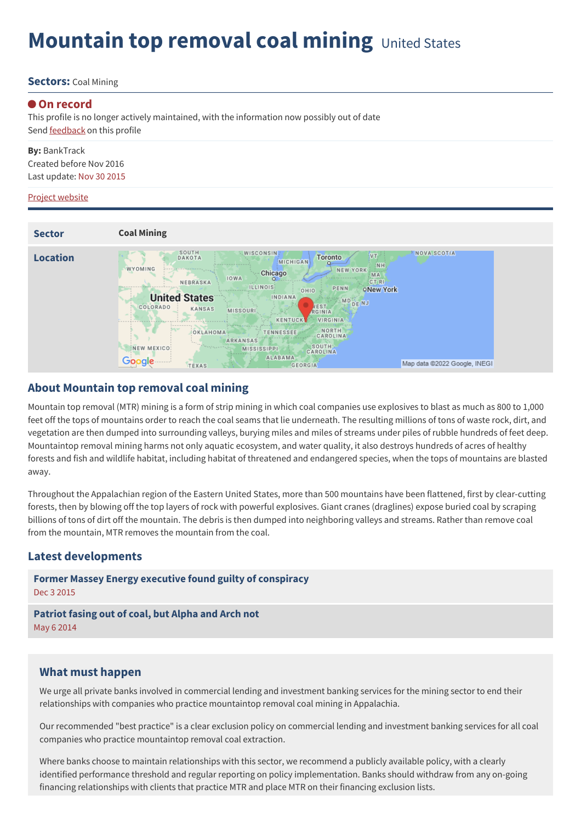# **Mountain top removal coal mining** United States

#### **Sectors:** Coal Mining

#### **On record**

This profile is no longer actively maintained, with the information now possibly out of date Send [feedback](https://www.banktrack.org/feedback/dodgydeal/mountain_top_removal_coal_mining) on this profile

**By:** BankTrack Created before Nov 2016 Last update: Nov 30 2015

#### Project website



### **About Mountain top removal coal mining**

Mountain top removal (MTR) mining is a form of strip mining in which coal companies use explosives to blast as much as 800 to 1,000 feet off the tops of mountains order to reach the coal seams that lie underneath. The resulting millions of tons of waste rock, dirt, and vegetation are then dumped into surrounding valleys, burying miles and miles of streams under piles of rubble hundreds of feet deep. Mountaintop removal mining harms not only aquatic ecosystem, and water quality, it also destroys hundreds of acres of healthy forests and fish and wildlife habitat, including habitat of threatened and endangered species, when the tops of mountains are blasted away.

Throughout the Appalachian region of the Eastern United States, more than 500 mountains have been flattened, first by clear-cutting forests, then by blowing off the top layers of rock with powerful explosives. Giant cranes (draglines) expose buried coal by scraping billions of tons of dirt off the mountain. The debris is then dumped into neighboring valleys and streams. Rather than remove coal from the mountain, MTR removes the mountain from the coal.

## **Latest developments**

**Former Massey Energy executive found guilty of [conspiracy](javascript:void(0))** Dec 3 2015

**[Patriot](javascript:void(0)) fasing out of coal, but Alpha and Arch not** May 6 2014

### **What must happen**

We urge all private banks involved in commercial lending and investment banking services for the mining sector to end their relationships with companies who practice mountaintop removal coal mining in Appalachia.

Our recommended "best practice" is a clear exclusion policy on commercial lending and investment banking services for all coal companies who practice mountaintop removal coal extraction.

Where banks choose to maintain relationships with this sector, we recommend a publicly available policy, with a clearly identified performance threshold and regular reporting on policy implementation. Banks should withdraw from any on-going financing relationships with clients that practice MTR and place MTR on their financing exclusion lists.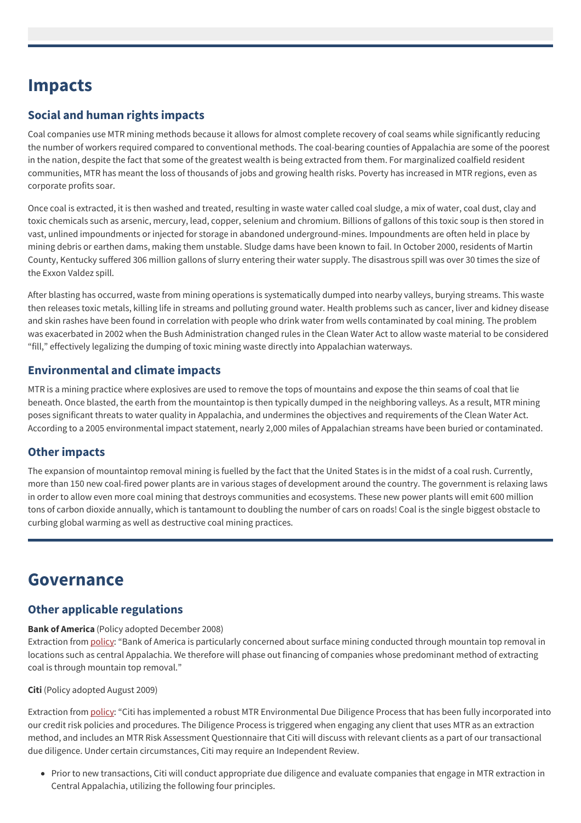# **Impacts**

## **Social and human rights impacts**

Coal companies use MTR mining methods because it allows for almost complete recovery of coal seams while significantly reducing the number of workers required compared to conventional methods. The coal-bearing counties of Appalachia are some of the poorest in the nation, despite the fact that some of the greatest wealth is being extracted from them. For marginalized coalfield resident communities, MTR has meant the loss of thousands of jobs and growing health risks. Poverty has increased in MTR regions, even as corporate profits soar.

Once coal is extracted, it is then washed and treated, resulting in waste water called coal sludge, a mix of water, coal dust, clay and toxic chemicals such as arsenic, mercury, lead, copper, selenium and chromium. Billions of gallons of this toxic soup is then stored in vast, unlined impoundments or injected for storage in abandoned underground-mines. Impoundments are often held in place by mining debris or earthen dams, making them unstable. Sludge dams have been known to fail. In October 2000, residents of Martin County, Kentucky suffered 306 million gallons of slurry entering their water supply. The disastrous spill was over 30 times the size of the Exxon Valdez spill.

After blasting has occurred, waste from mining operations is systematically dumped into nearby valleys, burying streams. This waste then releases toxic metals, killing life in streams and polluting ground water. Health problems such as cancer, liver and kidney disease and skin rashes have been found in correlation with people who drink water from wells contaminated by coal mining. The problem was exacerbated in 2002 when the Bush Administration changed rules in the Clean Water Act to allow waste material to be considered "fill," effectively legalizing the dumping of toxic mining waste directly into Appalachian waterways.

## **Environmental and climate impacts**

MTR is a mining practice where explosives are used to remove the tops of mountains and expose the thin seams of coal that lie beneath. Once blasted, the earth from the mountaintop is then typically dumped in the neighboring valleys. As a result, MTR mining poses significant threats to water quality in Appalachia, and undermines the objectives and requirements of the Clean Water Act. According to a 2005 environmental impact statement, nearly 2,000 miles of Appalachian streams have been buried or contaminated.

## **Other impacts**

The expansion of mountaintop removal mining is fuelled by the fact that the United States is in the midst of a coal rush. Currently, more than 150 new coal-fired power plants are in various stages of development around the country. The government is relaxing laws in order to allow even more coal mining that destroys communities and ecosystems. These new power plants will emit 600 million tons of carbon dioxide annually, which is tantamount to doubling the number of cars on roads! Coal is the single biggest obstacle to curbing global warming as well as destructive coal mining practices.

## **Governance**

## **Other applicable regulations**

#### **Bank of America** (Policy adopted December 2008)

Extraction from [policy](http://environment.bankofamerica.com/articles/Energy/COAL_POLICY.pdf): "Bank of America is particularly concerned about surface mining conducted through mountain top removal in locations such as central Appalachia. We therefore will phase out financing of companies whose predominant method of extracting coal is through mountain top removal."

#### **Citi** (Policy adopted August 2009)

Extraction from [policy](http://citizenship.citigroup.com/citi/citizen/finance/environment/mrcm.htm): "Citi has implemented a robust MTR Environmental Due Diligence Process that has been fully incorporated into our credit risk policies and procedures. The Diligence Process is triggered when engaging any client that uses MTR as an extraction method, and includes an MTR Risk Assessment Questionnaire that Citi will discuss with relevant clients as a part of our transactional due diligence. Under certain circumstances, Citi may require an Independent Review.

Prior to new transactions, Citi will conduct appropriate due diligence and evaluate companies that engage in MTR extraction in Central Appalachia, utilizing the following four principles.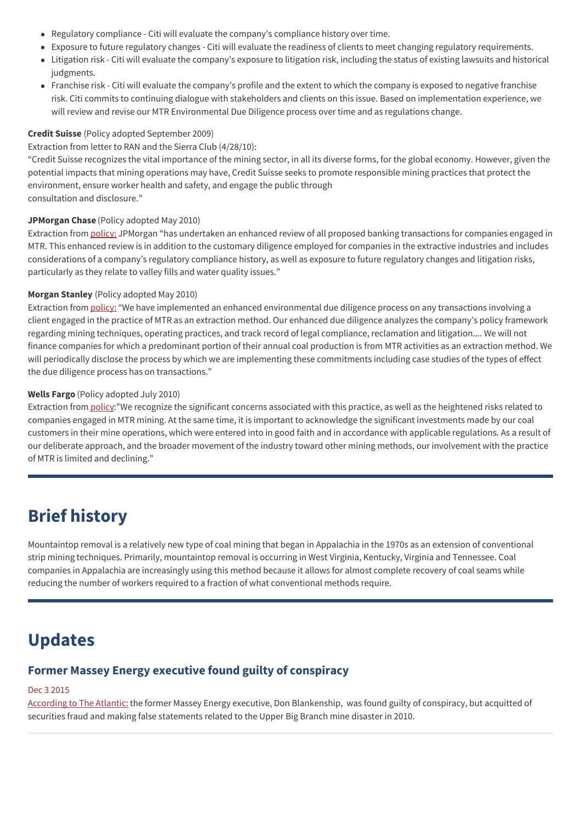- Regulatory compliance Citi will evaluate the company's compliance history over time.
- Exposure to future regulatory changes Citi will evaluate the readiness of clients to meet changing regulatory requirements.
- Litigation risk Citi will evaluate the company's exposure to litigation risk, including the status of existing lawsuits and historical judgments.
- Franchise risk Citi will evaluate the company's profile and the extent to which the company is exposed to negative franchise risk. Citi commits to continuing dialogue with stakeholders and clients on this issue. Based on implementation experience, we will review and revise our MTR Environmental Due Diligence process over time and as regulations change.

#### **Credit Suisse** (Policy adopted September 2009)

#### Extraction from letter to RAN and the Sierra Club (4/28/10):

"Credit Suisse recognizes the vital importance of the mining sector, in all its diverse forms, for the global economy. However, given the potential impacts that mining operations may have, Credit Suisse seeks to promote responsible mining practices that protect the environment, ensure worker health and safety, and engage the public through consultation and disclosure."

#### **JPMorgan Chase** (Policy adopted May 2010)

Extraction from [policy:](http://www.jpmorganchase.com/corporate/Corporate-Responsibility/document/cr_full_report_05-14_01_noblurb.pdf) JPMorgan "has undertaken an enhanced review of all proposed banking transactions for companies engaged in MTR. This enhanced review is in addition to the customary diligence employed for companies in the extractive industries and includes considerations of a company's regulatory compliance history, as well as exposure to future regulatory changes and litigation risks, particularly as they relate to valley fills and water quality issues."

#### **Morgan Stanley** (Policy adopted May 2010)

Extraction from [policy:](http://www.msdw.org/global/Environmental_Policy.pdf) "We have implemented an enhanced environmental due diligence process on any transactions involving a client engaged in the practice of MTR as an extraction method. Our enhanced due diligence analyzes the company's policy framework regarding mining techniques, operating practices, and track record of legal compliance, reclamation and litigation.... We will not finance companies for which a predominant portion of their annual coal production is from MTR activities as an extraction method. We will periodically disclose the process by which we are implementing these commitments including case studies of the types of effect the due diligence process has on transactions."

#### **Wells Fargo** (Policy adopted July 2010)

Extraction from [policy](https://www.wellsfargo.com/downloads/pdf/about/csr/reports/environmental_lending_practices.pdf): "We recognize the significant concerns associated with this practice, as well as the heightened risks related to companies engaged in MTR mining. At the same time, it is important to acknowledge the significant investments made by our coal customers in their mine operations, which were entered into in good faith and in accordance with applicable regulations. As a result of our deliberate approach, and the broader movement of the industry toward other mining methods, our involvement with the practice of MTR is limited and declining."

## **Brief history**

Mountaintop removal is a relatively new type of coal mining that began in Appalachia in the 1970s as an extension of conventional strip mining techniques. Primarily, mountaintop removal is occurring in West Virginia, Kentucky, Virginia and Tennessee. Coal companies in Appalachia are increasingly using this method because it allows for almost complete recovery of coal seams while reducing the number of workers required to a fraction of what conventional methods require.

## **Updates**

## **Former Massey Energy executive found guilty of conspiracy**

#### Dec 3 2015

[According](http://www.theatlantic.com/business/archive/2015/12/blankenship-trial-verdict/418641/) to The Atlantic: the former Massey Energy executive, Don Blankenship, was found guilty of conspiracy, but acquitted of securities fraud and making false statements related to the Upper Big Branch mine disaster in 2010.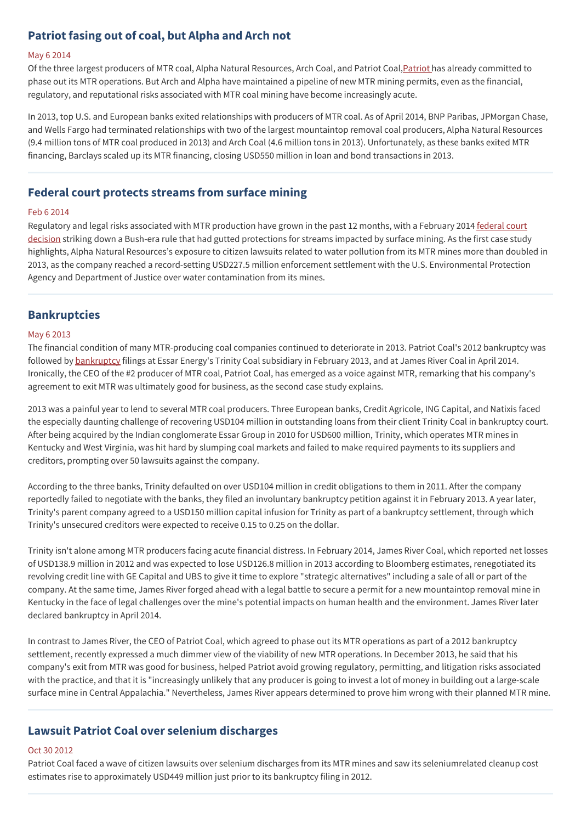## **Patriot fasing out of coal, but Alpha and Arch not**

#### May 6 2014

Of the three largest producers of MTR coal, Alpha Natural Resources, Arch Coal, and Patriot Coal, Patriot has already committed to phase out its MTR operations. But Arch and Alpha have maintained a pipeline of new MTR mining permits, even as the financial, regulatory, and reputational risks associated with MTR coal mining have become increasingly acute.

In 2013, top U.S. and European banks exited relationships with producers of MTR coal. As of April 2014, BNP Paribas, JPMorgan Chase, and Wells Fargo had terminated relationships with two of the largest mountaintop removal coal producers, Alpha Natural Resources (9.4 million tons of MTR coal produced in 2013) and Arch Coal (4.6 million tons in 2013). Unfortunately, as these banks exited MTR financing, Barclays scaled up its MTR financing, closing USD550 million in loan and bond transactions in 2013.

### **Federal court protects streams from surface mining**

#### Feb 6 2014

Regulatory and legal risks associated with MTR production have grown in the past 12 months, with a February 2014 federal court decision striking down a Bush-era rule that had gutted [protections](http://ran.org/sites/default/files/ran_extreme_investments_2014.pdf) for streams impacted by surface mining. As the first case study highlights, Alpha Natural Resources's exposure to citizen lawsuits related to water pollution from its MTR mines more than doubled in 2013, as the company reached a record-setting USD227.5 million enforcement settlement with the U.S. Environmental Protection Agency and Department of Justice over water contamination from its mines.

#### **Bankruptcies**

#### May 6 2013

The financial condition of many MTR-producing coal companies continued to deteriorate in 2013. Patriot Coal's 2012 bankruptcy was followed by [bankruptcy](http://ran.org/sites/default/files/ran_extreme_investments_2014.pdf) filings at Essar Energy's Trinity Coal subsidiary in February 2013, and at James River Coal in April 2014. Ironically, the CEO of the #2 producer of MTR coal, Patriot Coal, has emerged as a voice against MTR, remarking that his company's agreement to exit MTR was ultimately good for business, as the second case study explains.

2013 was a painful year to lend to several MTR coal producers. Three European banks, Credit Agricole, ING Capital, and Natixis faced the especially daunting challenge of recovering USD104 million in outstanding loans from their client Trinity Coal in bankruptcy court. After being acquired by the Indian conglomerate Essar Group in 2010 for USD600 million, Trinity, which operates MTR mines in Kentucky and West Virginia, was hit hard by slumping coal markets and failed to make required payments to its suppliers and creditors, prompting over 50 lawsuits against the company.

According to the three banks, Trinity defaulted on over USD104 million in credit obligations to them in 2011. After the company reportedly failed to negotiate with the banks, they filed an involuntary bankruptcy petition against it in February 2013. A year later, Trinity's parent company agreed to a USD150 million capital infusion for Trinity as part of a bankruptcy settlement, through which Trinity's unsecured creditors were expected to receive 0.15 to 0.25 on the dollar.

Trinity isn't alone among MTR producers facing acute financial distress. In February 2014, James River Coal, which reported net losses of USD138.9 million in 2012 and was expected to lose USD126.8 million in 2013 according to Bloomberg estimates, renegotiated its revolving credit line with GE Capital and UBS to give it time to explore "strategic alternatives" including a sale of all or part of the company. At the same time, James River forged ahead with a legal battle to secure a permit for a new mountaintop removal mine in Kentucky in the face of legal challenges over the mine's potential impacts on human health and the environment. James River later declared bankruptcy in April 2014.

In contrast to James River, the CEO of Patriot Coal, which agreed to phase out its MTR operations as part of a 2012 bankruptcy settlement, recently expressed a much dimmer view of the viability of new MTR operations. In December 2013, he said that his company's exit from MTR was good for business, helped Patriot avoid growing regulatory, permitting, and litigation risks associated with the practice, and that it is "increasingly unlikely that any producer is going to invest a lot of money in building out a large-scale surface mine in Central Appalachia." Nevertheless, James River appears determined to prove him wrong with their planned MTR mine.

## **Lawsuit Patriot Coal over selenium discharges**

#### Oct 30 2012

Patriot Coal faced a wave of citizen lawsuits over selenium discharges from its MTR mines and saw its seleniumrelated cleanup cost estimates rise to approximately USD449 million just prior to its bankruptcy filing in 2012.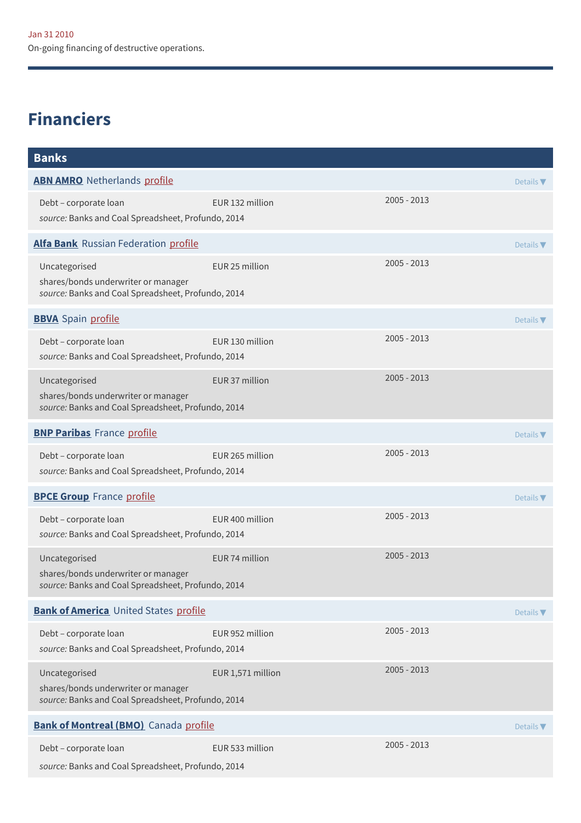# **Financiers**

| <b>Banks</b>                                                                                               |                   |             |                  |
|------------------------------------------------------------------------------------------------------------|-------------------|-------------|------------------|
| <b>ABN AMRO</b> Netherlands profile                                                                        |                   |             | Details $\nabla$ |
| Debt - corporate loan<br>source: Banks and Coal Spreadsheet, Profundo, 2014                                | EUR 132 million   | 2005 - 2013 |                  |
| Alfa Bank Russian Federation profile                                                                       |                   |             | Details $\nabla$ |
| Uncategorised<br>shares/bonds underwriter or manager<br>source: Banks and Coal Spreadsheet, Profundo, 2014 | EUR 25 million    | 2005 - 2013 |                  |
| <b>BBVA</b> Spain profile                                                                                  |                   |             | Details $\nabla$ |
| Debt - corporate loan<br>source: Banks and Coal Spreadsheet, Profundo, 2014                                | EUR 130 million   | 2005 - 2013 |                  |
| Uncategorised<br>shares/bonds underwriter or manager<br>source: Banks and Coal Spreadsheet, Profundo, 2014 | EUR 37 million    | 2005 - 2013 |                  |
| <b>BNP Paribas</b> France profile                                                                          |                   |             | Details $\nabla$ |
| Debt - corporate loan<br>source: Banks and Coal Spreadsheet, Profundo, 2014                                | EUR 265 million   | 2005 - 2013 |                  |
| <b>BPCE Group</b> France profile                                                                           |                   |             | Details $\nabla$ |
| Debt - corporate loan<br>source: Banks and Coal Spreadsheet, Profundo, 2014                                | EUR 400 million   | 2005 - 2013 |                  |
| Uncategorised<br>shares/bonds underwriter or manager<br>source: Banks and Coal Spreadsheet, Profundo, 2014 | EUR 74 million    | 2005 - 2013 |                  |
| <b>Bank of America</b> United States profile                                                               |                   |             |                  |
| Debt - corporate loan<br>source: Banks and Coal Spreadsheet, Profundo, 2014                                | EUR 952 million   | 2005 - 2013 |                  |
| Uncategorised<br>shares/bonds underwriter or manager<br>source: Banks and Coal Spreadsheet, Profundo, 2014 | EUR 1,571 million | 2005 - 2013 |                  |
| <b>Bank of Montreal (BMO)</b> Canada profile                                                               |                   |             | Details $\nabla$ |
| Debt - corporate loan<br>source: Banks and Coal Spreadsheet, Profundo, 2014                                | EUR 533 million   | 2005 - 2013 |                  |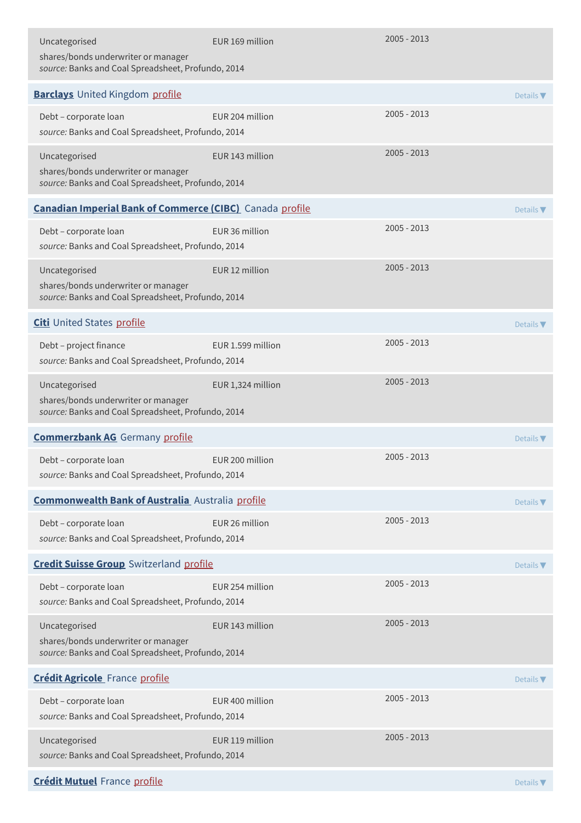| Uncategorised<br>shares/bonds underwriter or manager<br>source: Banks and Coal Spreadsheet, Profundo, 2014 | EUR 169 million                                                 | 2005 - 2013   |                              |  |
|------------------------------------------------------------------------------------------------------------|-----------------------------------------------------------------|---------------|------------------------------|--|
| <b>Barclays</b> United Kingdom profile                                                                     |                                                                 |               | Details $\nabla$             |  |
| Debt - corporate loan<br>source: Banks and Coal Spreadsheet, Profundo, 2014                                | EUR 204 million                                                 | 2005 - 2013   |                              |  |
| Uncategorised<br>shares/bonds underwriter or manager<br>source: Banks and Coal Spreadsheet, Profundo, 2014 | EUR 143 million                                                 | $2005 - 2013$ |                              |  |
|                                                                                                            | <b>Canadian Imperial Bank of Commerce (CIBC)</b> Canada profile |               |                              |  |
| Debt - corporate loan<br>source: Banks and Coal Spreadsheet, Profundo, 2014                                | EUR 36 million                                                  | $2005 - 2013$ |                              |  |
| Uncategorised<br>shares/bonds underwriter or manager<br>source: Banks and Coal Spreadsheet, Profundo, 2014 | EUR 12 million                                                  | $2005 - 2013$ |                              |  |
| <b>Citi</b> United States profile                                                                          |                                                                 |               | Details $\nabla$             |  |
| Debt - project finance<br>source: Banks and Coal Spreadsheet, Profundo, 2014                               | EUR 1.599 million                                               | $2005 - 2013$ |                              |  |
| Uncategorised<br>shares/bonds underwriter or manager<br>source: Banks and Coal Spreadsheet, Profundo, 2014 | EUR 1,324 million                                               | $2005 - 2013$ |                              |  |
| <b>Commerzbank AG</b> Germany profile                                                                      |                                                                 |               | Details $\nabla$             |  |
| Debt - corporate loan<br>source: Banks and Coal Spreadsheet, Profundo, 2014                                | EUR 200 million                                                 | $2005 - 2013$ |                              |  |
| <b>Commonwealth Bank of Australia</b> Australia profile                                                    |                                                                 |               | Details $\nabla$             |  |
| Debt - corporate loan<br>source: Banks and Coal Spreadsheet, Profundo, 2014                                | EUR 26 million                                                  | 2005 - 2013   |                              |  |
| <b>Credit Suisse Group</b> Switzerland profile                                                             |                                                                 |               | Details $\nabla$             |  |
| Debt - corporate loan<br>source: Banks and Coal Spreadsheet, Profundo, 2014                                | EUR 254 million                                                 | 2005 - 2013   |                              |  |
| Uncategorised<br>shares/bonds underwriter or manager<br>source: Banks and Coal Spreadsheet, Profundo, 2014 | EUR 143 million                                                 | 2005 - 2013   |                              |  |
| <b>Crédit Agricole</b> France profile                                                                      |                                                                 |               | Details $\blacktriangledown$ |  |
| Debt - corporate loan<br>source: Banks and Coal Spreadsheet, Profundo, 2014                                | EUR 400 million                                                 | 2005 - 2013   |                              |  |
| Uncategorised<br>source: Banks and Coal Spreadsheet, Profundo, 2014                                        | EUR 119 million                                                 | $2005 - 2013$ |                              |  |
| <b>Crédit Mutuel France profile</b>                                                                        |                                                                 |               | Details <b>V</b>             |  |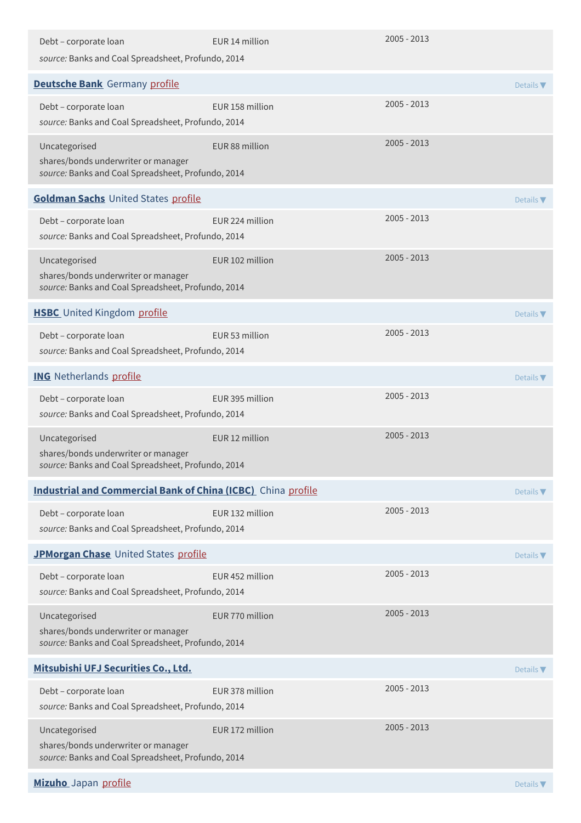| Debt - corporate loan<br>source: Banks and Coal Spreadsheet, Profundo, 2014               | EUR 14 million  | $2005 - 2013$ |                              |
|-------------------------------------------------------------------------------------------|-----------------|---------------|------------------------------|
| <b>Deutsche Bank</b> Germany profile                                                      |                 |               |                              |
| Debt - corporate loan                                                                     | EUR 158 million | $2005 - 2013$ | Details $\blacktriangledown$ |
| source: Banks and Coal Spreadsheet, Profundo, 2014                                        |                 |               |                              |
| Uncategorised<br>shares/bonds underwriter or manager                                      | EUR 88 million  | 2005 - 2013   |                              |
| source: Banks and Coal Spreadsheet, Profundo, 2014                                        |                 |               |                              |
| <b>Goldman Sachs United States profile</b>                                                |                 |               | Details $\nabla$             |
| Debt - corporate loan                                                                     | EUR 224 million | 2005 - 2013   |                              |
| source: Banks and Coal Spreadsheet, Profundo, 2014                                        |                 | 2005 - 2013   |                              |
| Uncategorised<br>shares/bonds underwriter or manager                                      | EUR 102 million |               |                              |
| source: Banks and Coal Spreadsheet, Profundo, 2014                                        |                 |               |                              |
| <b>HSBC</b> United Kingdom profile                                                        |                 |               | Details $\nabla$             |
| Debt - corporate loan<br>source: Banks and Coal Spreadsheet, Profundo, 2014               | EUR 53 million  | 2005 - 2013   |                              |
| <b>ING</b> Netherlands profile                                                            |                 |               | Details $\nabla$             |
| Debt - corporate loan<br>source: Banks and Coal Spreadsheet, Profundo, 2014               | EUR 395 million | 2005 - 2013   |                              |
| Uncategorised<br>shares/bonds underwriter or manager                                      | EUR 12 million  | 2005 - 2013   |                              |
| source: Banks and Coal Spreadsheet, Profundo, 2014                                        |                 |               |                              |
| <b>Industrial and Commercial Bank of China (ICBC)</b> China profile                       |                 |               | Details $\blacktriangledown$ |
| Debt - corporate loan<br>source: Banks and Coal Spreadsheet, Profundo, 2014               | EUR 132 million | $2005 - 2013$ |                              |
| JPMorgan Chase United States profile                                                      |                 |               | Details $\blacktriangledown$ |
| Debt - corporate loan                                                                     | EUR 452 million | $2005 - 2013$ |                              |
| source: Banks and Coal Spreadsheet, Profundo, 2014                                        |                 |               |                              |
| Uncategorised                                                                             | EUR 770 million | $2005 - 2013$ |                              |
| shares/bonds underwriter or manager<br>source: Banks and Coal Spreadsheet, Profundo, 2014 |                 |               |                              |
| Mitsubishi UFJ Securities Co., Ltd.                                                       |                 |               | Details $\blacktriangledown$ |
| Debt - corporate loan                                                                     | EUR 378 million | $2005 - 2013$ |                              |
| source: Banks and Coal Spreadsheet, Profundo, 2014                                        |                 |               |                              |
| Uncategorised<br>shares/bonds underwriter or manager                                      | EUR 172 million | $2005 - 2013$ |                              |
| source: Banks and Coal Spreadsheet, Profundo, 2014                                        |                 |               |                              |
| Mizuho Japan profile                                                                      |                 |               | Details $\blacktriangledown$ |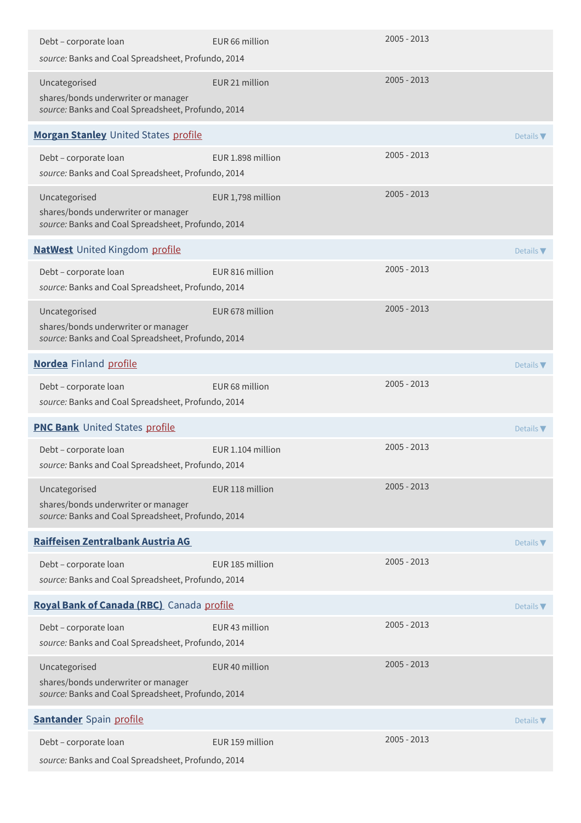| Debt - corporate loan                                                                                      | EUR 66 million    | $2005 - 2013$ |                              |
|------------------------------------------------------------------------------------------------------------|-------------------|---------------|------------------------------|
| source: Banks and Coal Spreadsheet, Profundo, 2014                                                         |                   |               |                              |
| Uncategorised<br>shares/bonds underwriter or manager<br>source: Banks and Coal Spreadsheet, Profundo, 2014 | EUR 21 million    | $2005 - 2013$ |                              |
| Morgan Stanley United States profile                                                                       |                   |               | Details $\blacktriangledown$ |
| Debt - corporate loan<br>source: Banks and Coal Spreadsheet, Profundo, 2014                                | EUR 1.898 million | 2005 - 2013   |                              |
| Uncategorised<br>shares/bonds underwriter or manager<br>source: Banks and Coal Spreadsheet, Profundo, 2014 | EUR 1,798 million | $2005 - 2013$ |                              |
| <b>NatWest</b> United Kingdom profile                                                                      |                   |               | Details $\blacktriangledown$ |
| Debt - corporate loan<br>source: Banks and Coal Spreadsheet, Profundo, 2014                                | EUR 816 million   | 2005 - 2013   |                              |
| Uncategorised<br>shares/bonds underwriter or manager<br>source: Banks and Coal Spreadsheet, Profundo, 2014 | EUR 678 million   | $2005 - 2013$ |                              |
| <b>Nordea</b> Finland profile                                                                              |                   |               | Details $\nabla$             |
| Debt - corporate loan<br>source: Banks and Coal Spreadsheet, Profundo, 2014                                | EUR 68 million    | 2005 - 2013   |                              |
| <b>PNC Bank</b> United States profile                                                                      |                   |               | Details $\nabla$             |
| Debt - corporate loan<br>source: Banks and Coal Spreadsheet, Profundo, 2014                                | EUR 1.104 million | 2005 - 2013   |                              |
| Uncategorised<br>shares/bonds underwriter or manager<br>source: Banks and Coal Spreadsheet, Profundo, 2014 | EUR 118 million   | 2005 - 2013   |                              |
| Raiffeisen Zentralbank Austria AG                                                                          |                   |               | Details $\nabla$             |
| Debt - corporate loan<br>source: Banks and Coal Spreadsheet, Profundo, 2014                                | EUR 185 million   | $2005 - 2013$ |                              |
| Royal Bank of Canada (RBC) Canada profile                                                                  |                   |               | Details $\nabla$             |
| Debt - corporate loan<br>source: Banks and Coal Spreadsheet, Profundo, 2014                                | EUR 43 million    | $2005 - 2013$ |                              |
| Uncategorised<br>shares/bonds underwriter or manager<br>source: Banks and Coal Spreadsheet, Profundo, 2014 | EUR 40 million    | 2005 - 2013   |                              |
| <b>Santander</b> Spain profile                                                                             |                   |               | Details $\nabla$             |
| Debt - corporate loan<br>source: Banks and Coal Spreadsheet, Profundo, 2014                                | EUR 159 million   | $2005 - 2013$ |                              |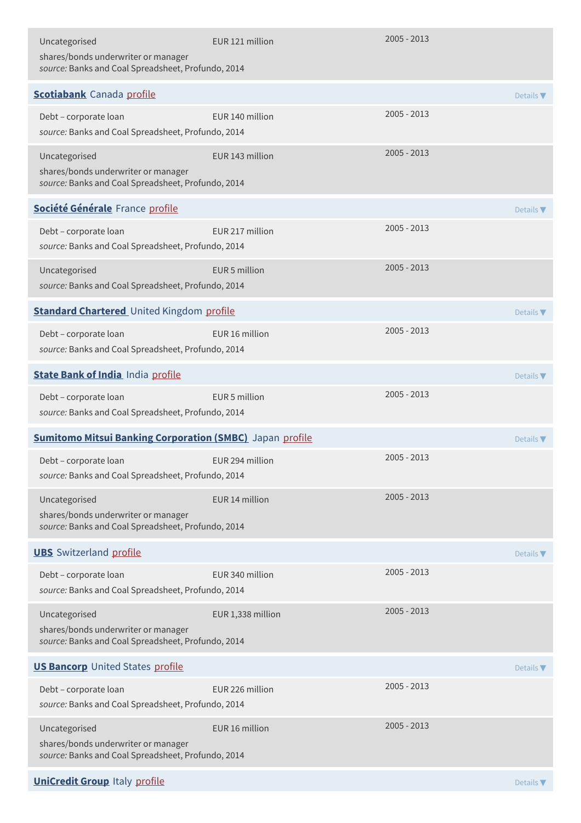| Uncategorised<br>shares/bonds underwriter or manager<br>source: Banks and Coal Spreadsheet, Profundo, 2014 | EUR 121 million   | $2005 - 2013$ |                              |
|------------------------------------------------------------------------------------------------------------|-------------------|---------------|------------------------------|
| <b>Scotiabank</b> Canada profile                                                                           |                   |               | Details $\blacktriangledown$ |
| Debt - corporate loan<br>source: Banks and Coal Spreadsheet, Profundo, 2014                                | EUR 140 million   | $2005 - 2013$ |                              |
| Uncategorised<br>shares/bonds underwriter or manager<br>source: Banks and Coal Spreadsheet, Profundo, 2014 | EUR 143 million   | $2005 - 2013$ |                              |
| Société Générale France profile                                                                            |                   |               | Details $\nabla$             |
| Debt - corporate loan<br>source: Banks and Coal Spreadsheet, Profundo, 2014                                | EUR 217 million   | $2005 - 2013$ |                              |
| Uncategorised<br>source: Banks and Coal Spreadsheet, Profundo, 2014                                        | EUR 5 million     | $2005 - 2013$ |                              |
| <b>Standard Chartered</b> United Kingdom profile<br>Details $\nabla$                                       |                   |               |                              |
| Debt - corporate loan<br>source: Banks and Coal Spreadsheet, Profundo, 2014                                | EUR 16 million    | $2005 - 2013$ |                              |
| <b>State Bank of India India profile</b>                                                                   |                   |               | Details $\nabla$             |
| Debt - corporate loan<br>source: Banks and Coal Spreadsheet, Profundo, 2014                                | EUR 5 million     | $2005 - 2013$ |                              |
| <b>Sumitomo Mitsui Banking Corporation (SMBC)</b> Japan profile                                            |                   |               | Details $\blacktriangledown$ |
| Debt - corporate loan<br>source: Banks and Coal Spreadsheet, Profundo, 2014                                | EUR 294 million   | $2005 - 2013$ |                              |
| Uncategorised<br>shares/bonds underwriter or manager<br>source: Banks and Coal Spreadsheet, Profundo, 2014 | EUR 14 million    | $2005 - 2013$ |                              |
| <b>UBS</b> Switzerland profile                                                                             |                   |               | Details $\nabla$             |
| Debt - corporate loan<br>source: Banks and Coal Spreadsheet, Profundo, 2014                                | EUR 340 million   | $2005 - 2013$ |                              |
| Uncategorised<br>shares/bonds underwriter or manager<br>source: Banks and Coal Spreadsheet, Profundo, 2014 | EUR 1,338 million | $2005 - 2013$ |                              |
| <b>US Bancorp</b> United States profile                                                                    |                   |               | Details $\blacktriangledown$ |
| Debt - corporate loan<br>source: Banks and Coal Spreadsheet, Profundo, 2014                                | EUR 226 million   | $2005 - 2013$ |                              |
| Uncategorised<br>shares/bonds underwriter or manager<br>source: Banks and Coal Spreadsheet, Profundo, 2014 | EUR 16 million    | $2005 - 2013$ |                              |
| <b>UniCredit Group Italy profile</b>                                                                       |                   |               | Details $\nabla$             |